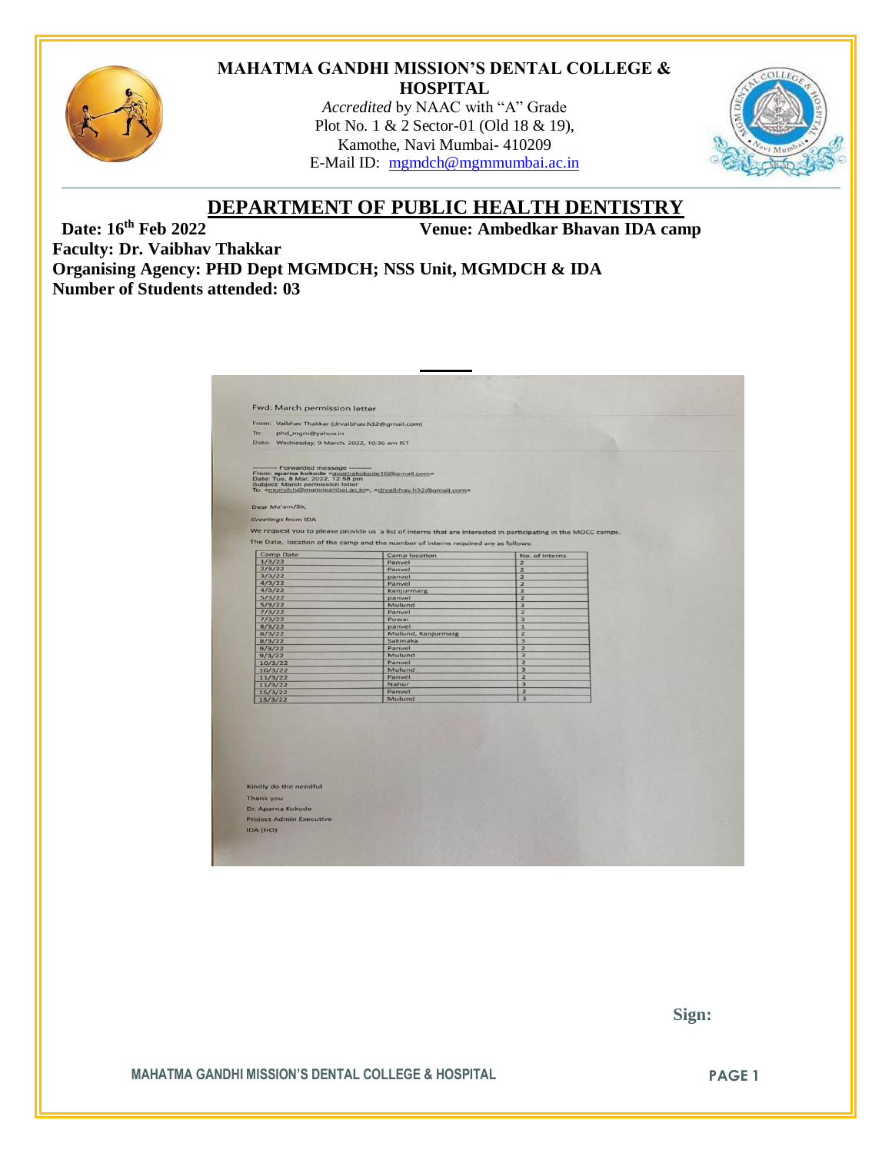

#### **MAHATMA GANDHI MISSION'S DENTAL COLLEGE & HOSPITAL**

*Accredited* by NAAC with "A" Grade Plot No. 1 & 2 Sector-01 (Old 18 & 19), Kamothe, Navi Mumbai- 410209 E-Mail ID: [mgmdch@mgmmumbai.ac.in](mailto:mgmdch@mgmmumbai.ac.in)



# **DEPARTMENT OF PUBLIC HEALTH DENTISTRY**<br>Venue: Ambedkar Bhavan IDA cam

**Venue: Ambedkar Bhavan IDA camp** 

**Faculty: Dr. Vaibhav Thakkar Organising Agency: PHD Dept MGMDCH; NSS Unit, MGMDCH & IDA Number of Students attended: 03**

| Fwd: March permission letter                                                                                                                                             |                                                                                                               |                                |  |
|--------------------------------------------------------------------------------------------------------------------------------------------------------------------------|---------------------------------------------------------------------------------------------------------------|--------------------------------|--|
| From: Vaibhav Thakkar (drvaibhav.h32@gmail.com)                                                                                                                          |                                                                                                               |                                |  |
| To:<br>phd_mgm@yahoo.in                                                                                                                                                  |                                                                                                               |                                |  |
| Date: Wednesday, 9 March, 2022, 10:36 am IST                                                                                                                             |                                                                                                               |                                |  |
| Forwarded message<br>From: aparna kokode <aparnakokode10@gmail.com><br/>Date: Tue, 8 Mar, 2022, 12:58 pm<br/>Subject: March permission letter</aparnakokode10@gmail.com> | To: <mgmdch@mgmmumbai.ac.in>, <drvaibhav.h32@gmail.com></drvaibhav.h32@gmail.com></mgmdch@mgmmumbai.ac.in>    |                                |  |
| Dear Ma'am/Sir,                                                                                                                                                          |                                                                                                               |                                |  |
|                                                                                                                                                                          |                                                                                                               |                                |  |
| <b>Greetings from IDA</b>                                                                                                                                                |                                                                                                               |                                |  |
|                                                                                                                                                                          | We request you to please provide us a list of interns that are interested in participating in the MOCC camps. |                                |  |
|                                                                                                                                                                          | The Date, location of the camp and the number of interns required are as follows:                             |                                |  |
|                                                                                                                                                                          |                                                                                                               |                                |  |
| <b>Camp Date</b>                                                                                                                                                         | Camp location                                                                                                 | No. of interns                 |  |
| 1/3/22<br>2/3/22                                                                                                                                                         | Panvel<br>Panvel                                                                                              | $\mathbf{z}$<br>$\overline{z}$ |  |
| 3/3/22                                                                                                                                                                   | panvel                                                                                                        | 2                              |  |
| 4/3/22                                                                                                                                                                   | Panvel                                                                                                        | 2                              |  |
| 4/3/22                                                                                                                                                                   | Kanjurmarg                                                                                                    | $\overline{z}$                 |  |
| 5/3/22                                                                                                                                                                   | panvel                                                                                                        | $\overline{2}$                 |  |
| 5/3/22                                                                                                                                                                   | Mulund                                                                                                        | 3                              |  |
| 7/3/22                                                                                                                                                                   | Panvel<br>Powai                                                                                               | 2                              |  |
| 7/3/22<br>8/3/22                                                                                                                                                         | panvel                                                                                                        | 3<br>$\mathbf{1}$              |  |
| 8/3/22                                                                                                                                                                   | Mulund, Kanjurmarg                                                                                            | $\overline{2}$                 |  |
| 8/3/22                                                                                                                                                                   | Sakinaka                                                                                                      | 3                              |  |
| 9/3/22                                                                                                                                                                   | Panvel                                                                                                        | $\overline{z}$                 |  |
| 9/3/22                                                                                                                                                                   | Mulund                                                                                                        | $\overline{\mathbf{3}}$        |  |
| 10/3/22                                                                                                                                                                  | Panvel<br>Mulund                                                                                              | $\overline{z}$<br>3            |  |
| 10/3/22<br>11/3/22                                                                                                                                                       | Panvel                                                                                                        | $\overline{2}$                 |  |
| 11/3/22                                                                                                                                                                  | Nahur                                                                                                         | $\overline{\mathbf{3}}$        |  |
| 15/3/22                                                                                                                                                                  | Panvel                                                                                                        | $\overline{2}$                 |  |
| 15/3/22                                                                                                                                                                  | Mulund                                                                                                        | $\overline{\mathbf{3}}$        |  |
|                                                                                                                                                                          |                                                                                                               |                                |  |
|                                                                                                                                                                          |                                                                                                               |                                |  |
|                                                                                                                                                                          |                                                                                                               |                                |  |
|                                                                                                                                                                          |                                                                                                               |                                |  |
|                                                                                                                                                                          |                                                                                                               |                                |  |
|                                                                                                                                                                          |                                                                                                               |                                |  |
|                                                                                                                                                                          |                                                                                                               |                                |  |
|                                                                                                                                                                          |                                                                                                               |                                |  |
|                                                                                                                                                                          |                                                                                                               |                                |  |
| Kindly do the needful                                                                                                                                                    |                                                                                                               |                                |  |
|                                                                                                                                                                          |                                                                                                               |                                |  |
| <b>Thank you</b>                                                                                                                                                         |                                                                                                               |                                |  |
| Dr. Aparna Kokode                                                                                                                                                        |                                                                                                               |                                |  |
| <b>Project Admin Executive</b>                                                                                                                                           |                                                                                                               |                                |  |
|                                                                                                                                                                          |                                                                                                               |                                |  |
| IDA (HO)                                                                                                                                                                 |                                                                                                               |                                |  |

 **Sign:**

**MAHATMA GANDHI MISSION'S DENTAL COLLEGE & HOSPITAL PAGE 1**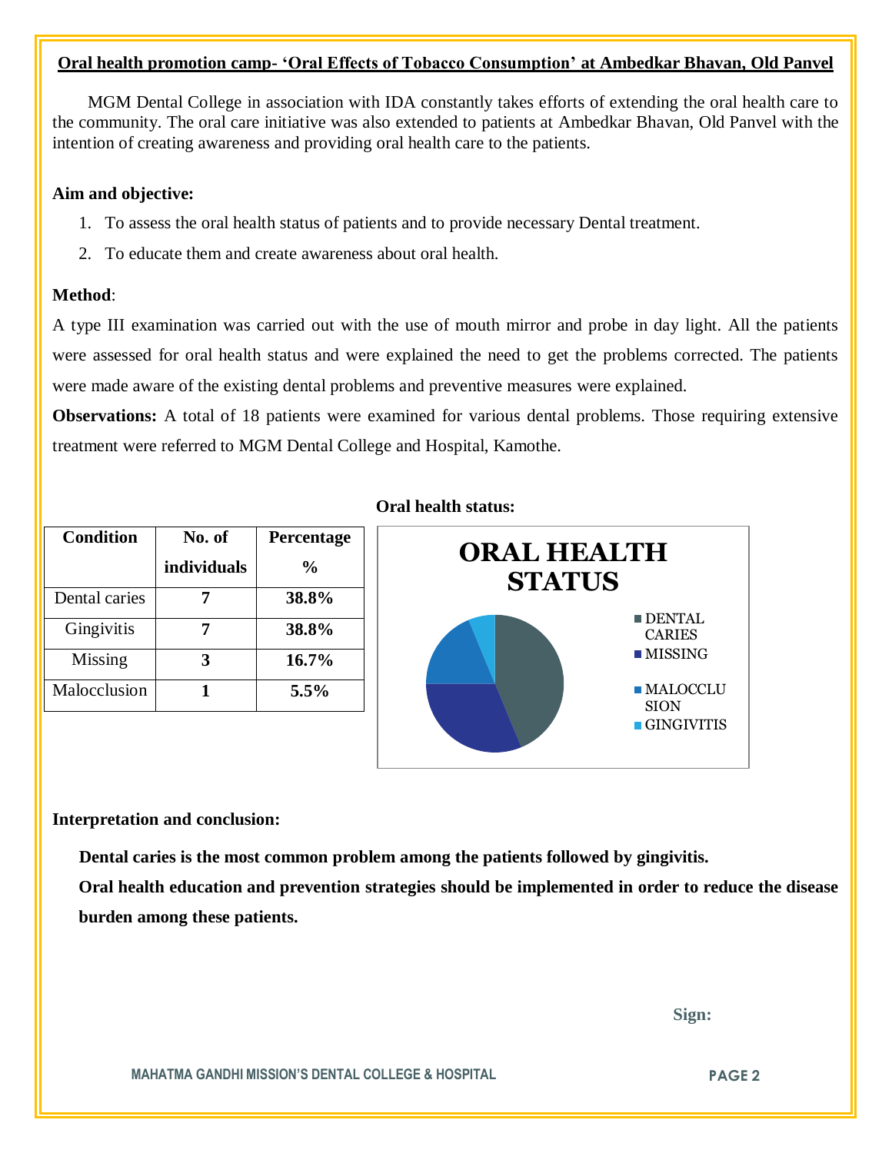## **Oral health promotion camp- 'Oral Effects of Tobacco Consumption' at Ambedkar Bhavan, Old Panvel**

 MGM Dental College in association with IDA constantly takes efforts of extending the oral health care to the community. The oral care initiative was also extended to patients at Ambedkar Bhavan, Old Panvel with the intention of creating awareness and providing oral health care to the patients.

## **Aim and objective:**

- 1. To assess the oral health status of patients and to provide necessary Dental treatment.
- 2. To educate them and create awareness about oral health.

# **Method**:

A type III examination was carried out with the use of mouth mirror and probe in day light. All the patients were assessed for oral health status and were explained the need to get the problems corrected. The patients were made aware of the existing dental problems and preventive measures were explained.

**Observations:** A total of 18 patients were examined for various dental problems. Those requiring extensive treatment were referred to MGM Dental College and Hospital, Kamothe.

| <b>Condition</b> | No. of      | Percentage     |
|------------------|-------------|----------------|
|                  | individuals | $\frac{6}{10}$ |
| Dental caries    |             | 38.8%          |
| Gingivitis       |             | 38.8%          |
| Missing          |             | 16.7%          |
| Malocclusion     |             | $5.5\%$        |

#### **Oral health status:**



#### **Interpretation and conclusion:**

 **Dental caries is the most common problem among the patients followed by gingivitis.**

**Oral health education and prevention strategies should be implemented in order to reduce the disease burden among these patients.**

 **Sign:**

**MAHATMA GANDHI MISSION'S DENTAL COLLEGE & HOSPITAL PAGE 2**